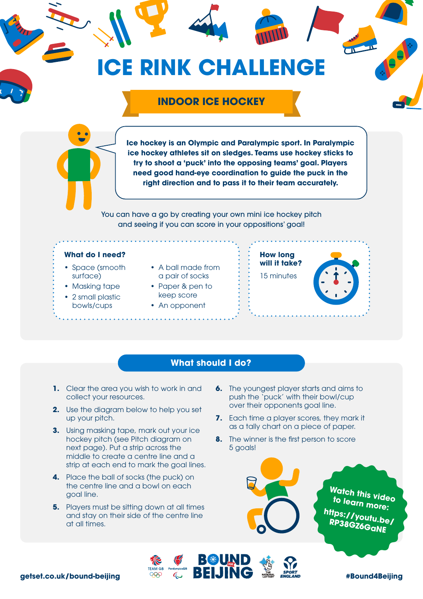# **ICE RINK CHALLENGE**

# **INDOOR ICE HOCKEY**

**Ice hockey is an Olympic and Paralympic sport. In Paralympic ice hockey athletes sit on sledges. Teams use hockey sticks to try to shoot a 'puck' into the opposing teams' goal. Players need good hand-eye coordination to guide the puck in the right direction and to pass it to their team accurately.**

You can have a go by creating your own mini ice hockey pitch and seeing if you can score in your oppositions' goal!

#### **What do I need?**

- Space (smooth surface)
- Masking tape
- 2 small plastic bowls/cups
- A ball made from a pair of socks
- Paper & pen to keep score
- An opponent

## **How long will it take?** 15 minutes



### **What should I do?**

BBUND

- **1.** Clear the area you wish to work in and collect your resources.
- **2.** Use the diagram below to help you set up your pitch.
- **3.** Using masking tape, mark out your ice hockey pitch (see Pitch diagram on next page). Put a strip across the middle to create a centre line and a strip at each end to mark the goal lines.
- **4.** Place the ball of socks (the puck) on the centre line and a bowl on each goal line.
- **5.** Players must be sitting down at all times and stay on their side of the centre line at all times.
- **6.** The youngest player starts and aims to push the 'puck' with their bowl/cup over their opponents goal line.
- **7.** Each time a player scores, they mark it as a tally chart on a piece of paper.
- **8.** The winner is the first person to score 5 goals!



**Watch this video to learn more: [https://youtu.be/](https://youtu.be/RP38GZ6GaNE) RP38GZ6GaNE**